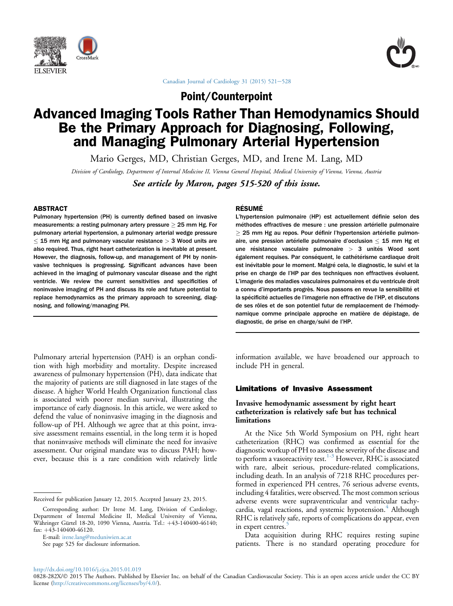



Canadian Journal of Cardiology 31 (2015)  $521-528$  $521-528$ 

Point/Counterpoint

# Advanced Imaging Tools Rather Than Hemodynamics Should Be the Primary Approach for Diagnosing, Following, and Managing Pulmonary Arterial Hypertension

Mario Gerges, MD, Christian Gerges, MD, and Irene M. Lang, MD

Division of Cardiology, Department of Internal Medicine II, Vienna General Hospital, Medical University of Vienna, Vienna, Austria

See article by Maron, pages 515-520 of this issue.

## ABSTRACT

Pulmonary hypertension (PH) is currently defined based on invasive measurements: a resting pulmonary artery pressure  $\geq$  25 mm Hg. For pulmonary arterial hypertension, a pulmonary arterial wedge pressure  $15$  mm Hg and pulmonary vascular resistance  $> 3$  Wood units are also required. Thus, right heart catheterization is inevitable at present. However, the diagnosis, follow-up, and management of PH by noninvasive techniques is progressing. Significant advances have been achieved in the imaging of pulmonary vascular disease and the right ventricle. We review the current sensitivities and specificities of noninvasive imaging of PH and discuss its role and future potential to replace hemodynamics as the primary approach to screening, diagnosing, and following/managing PH.

Pulmonary arterial hypertension (PAH) is an orphan condition with high morbidity and mortality. Despite increased awareness of pulmonary hypertension (PH), data indicate that the majority of patients are still diagnosed in late stages of the disease. A higher World Health Organization functional class is associated with poorer median survival, illustrating the importance of early diagnosis. In this article, we were asked to defend the value of noninvasive imaging in the diagnosis and follow-up of PH. Although we agree that at this point, invasive assessment remains essential, in the long term it is hoped that noninvasive methods will eliminate the need for invasive assessment. Our original mandate was to discuss PAH; however, because this is a rare condition with relatively little

E-mail: [irene.lang@meduniwien.ac.at](mailto:irene.lang@meduniwien.ac.at)

See page 525 for disclosure information.

### **RÉSUMÉ**

L'hypertension pulmonaire (HP) est actuellement définie selon des méthodes effractives de mesure : une pression artérielle pulmonaire  $\geq$  25 mm Hg au repos. Pour définir l'hypertension artérielle pulmonaire, une pression artérielle pulmonaire d'occlusion  $\leq$  15 mm Hg et une résistance vasculaire pulmonaire  $> 3$  unités Wood sont également requises. Par conséquent, le cathétérisme cardiaque droit est inévitable pour le moment. Malgré cela, le diagnostic, le suivi et la prise en charge de l'HP par des techniques non effractives évoluent. L'imagerie des maladies vasculaires pulmonaires et du ventricule droit a connu d'importants progrès. Nous passons en revue la sensibilité et la spécificité actuelles de l'imagerie non effractive de l'HP, et discutons de ses rôles et de son potentiel futur de remplacement de l'hémodynamique comme principale approche en matière de depistage, de diagnostic, de prise en charge/suivi de l'HP.

information available, we have broadened our approach to include PH in general.

# Limitations of Invasive Assessment

## Invasive hemodynamic assessment by right heart catheterization is relatively safe but has technical limitations

At the Nice 5th World Symposium on PH, right heart catheterization (RHC) was confirmed as essential for the diagnostic workup of PH to assess the severity of the disease and to perform a vasoreactivity test.<sup>[1-3](#page-4-0)</sup> However, RHC is associated with rare, albeit serious, procedure-related complications, including death. In an analysis of 7218 RHC procedures performed in experienced PH centres, 76 serious adverse events, including 4 fatalities, were observed. The most common serious adverse events were supraventricular and ventricular tachy-cardia, vagal reactions, and systemic hypotension.<sup>[4](#page-5-0)</sup> Although RHC is relatively safe, reports of complications do appear, even in expert centres.<sup>3</sup>

Data acquisition during RHC requires resting supine patients. There is no standard operating procedure for

<http://dx.doi.org/10.1016/j.cjca.2015.01.019>

Received for publication January 12, 2015. Accepted January 23, 2015.

Corresponding author: Dr Irene M. Lang, Division of Cardiology, Department of Internal Medicine II, Medical University of Vienna, Währinger Gürtel 18-20, 1090 Vienna, Austria. Tel.: +43-140400-46140; fax:  $+43-140400-46120$ .

<sup>0828-282</sup>X/2 2015 The Authors. Published by Elsevier Inc. on behalf of the Canadian Cardiovascular Society. This is an open access article under the CC BY license [\(http://creativecommons.org/licenses/by/4.0/](http://creativecommons.org/licenses/by/4.�0/)).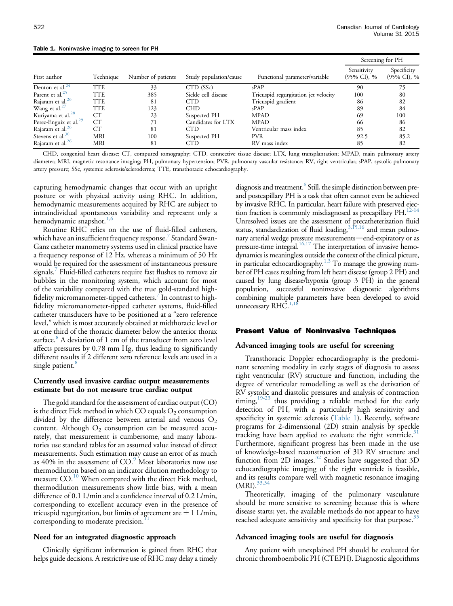#### <span id="page-1-0"></span>Table 1. Noninvasive imaging to screen for PH

|                                   |            |                    |                        |                                      | Screening for PH                       |                                        |
|-----------------------------------|------------|--------------------|------------------------|--------------------------------------|----------------------------------------|----------------------------------------|
| First author                      | Technique  | Number of patients | Study population/cause | Functional parameter/variable        | Sensitivity<br>$(95\% \text{ CI})$ , % | Specificity<br>$(95\% \text{ CI})$ , % |
| Denton et al. $^{24}$             | TTE        | 33                 | CTD (SSc)              | $s$ PAP                              | 90                                     | 75                                     |
| Parent et al. <sup>25</sup>       | <b>TTE</b> | 385                | Sickle cell disease    | Tricuspid regurgitation jet velocity | 100                                    | 80                                     |
| Rajaram et al. <sup>26</sup>      | <b>TTE</b> | 81                 | <b>CTD</b>             | Tricuspid gradient                   | 86                                     | 82                                     |
| Wang et al. <sup>27</sup>         | <b>TTE</b> | 123                | <b>CHD</b>             | sPAP                                 | 89                                     | 84                                     |
| Kuriyama et al. <sup>28</sup>     | CТ         | 23                 | Suspected PH           | <b>MPAD</b>                          | 69                                     | 100                                    |
| Perez-Enguix et al. <sup>29</sup> | CT         | 71                 | Candidates for LTX     | <b>MPAD</b>                          | 66                                     | 86                                     |
| Rajaram et al. <sup>26</sup>      | <b>CT</b>  | 81                 | <b>CTD</b>             | Ventricular mass index               | 85                                     | 82                                     |
| Stevens et al. $30$               | <b>MRI</b> | 100                | Suspected PH           | <b>PVR</b>                           | 92.5                                   | 85.2                                   |
| Rajaram et al. <sup>26</sup>      | <b>MRI</b> | 81                 | <b>CTD</b>             | RV mass index                        | 85                                     | 82                                     |

CHD, congenital heart disease; CT, computed tomography; CTD, connective tissue disease; LTX, lung transplantation; MPAD, main pulmonary artery diameter; MRI, magnetic resonance imaging; PH, pulmonary hypertension; PVR, pulmonary vascular resistance; RV, right ventricular; sPAP, systolic pulmonary artery pressure; SSc, systemic sclerosis/scleroderma; TTE, transthoracic echocardiography.

capturing hemodynamic changes that occur with an upright posture or with physical activity using RHC. In addition, hemodynamic measurements acquired by RHC are subject to intraindividual spontaneous variability and represent only a hemodynamic snapshot.<sup>[1,6](#page-4-0)</sup>

Routine RHC relies on the use of fluid-filled catheters, which have an insufficient frequency response. Standard Swan-Ganz catheter manometry systems used in clinical practice have a frequency response of 12 Hz, whereas a minimum of 50 Hz would be required for the assessment of instantaneous pressure signals.<sup>[7](#page-5-0)</sup> Fluid-filled catheters require fast flushes to remove air bubbles in the monitoring system, which account for most of the variability compared with the true gold-standard high-fidelity micromanometer-tipped catheters.<sup>[7](#page-5-0)</sup> In contrast to highfidelity micromanometer-tipped catheter systems, fluid-filled catheter transducers have to be positioned at a "zero reference level," which is most accurately obtained at midthoracic level or at one third of the thoracic diameter below the anterior thorax surface.<sup>[8](#page-5-0)</sup> A deviation of 1 cm of the transducer from zero level affects pressures by 0.78 mm Hg, thus leading to significantly different results if 2 different zero reference levels are used in a single patient.<sup>[8](#page-5-0)</sup>

### Currently used invasive cardiac output measurements estimate but do not measure true cardiac output

The gold standard for the assessment of cardiac output (CO) is the direct Fick method in which CO equals  $O_2$  consumption divided by the difference between arterial and venous  $O_2$ content. Although  $O_2$  consumption can be measured accurately, that measurement is cumbersome, and many laboratories use standard tables for an assumed value instead of direct measurements. Such estimation may cause an error of as much as  $40\%$  in the assessment of  $CO$ .<sup>[9](#page-5-0)</sup> Most laboratories now use thermodilution based on an indicator dilution methodology to measure CO.<sup>[10](#page-5-0)</sup> When compared with the direct Fick method, thermodilution measurements show little bias, with a mean difference of 0.1 L/min and a confidence interval of 0.2 L/min, corresponding to excellent accuracy even in the presence of tricuspid regurgitation, but limits of agreement are  $\pm$  1 L/min, corresponding to moderate precision.<sup>1</sup>

#### Need for an integrated diagnostic approach

Clinically significant information is gained from RHC that helps guide decisions. A restrictive use of RHC may delay a timely

diagnosis and treatment.<sup>6</sup> Still, the simple distinction between preand postcapillary PH is a task that often cannot even be achieved by invasive RHC. In particular, heart failure with preserved ejection fraction is commonly misdiagnosed as precapillary PH.<sup>12-14</sup> Unresolved issues are the assessment of precatheterization fluid status, standardization of fluid loading, $3,15,16$  and mean pulmonary arterial wedge pressure measurements—end-expiratory or as pressure-time integral.<sup>[16,17](#page-5-0)</sup> The interpretation of invasive hemodynamics is meaningless outside the context of the clinical picture, in particular echocardiography. $1,3$  To manage the growing number of PH cases resulting from left heart disease (group 2 PH) and caused by lung disease/hypoxia (group 3 PH) in the general population, successful noninvasive diagnostic algorithms combining multiple parameters have been developed to avoid unnecessary RHC.<sup>1</sup>

## Present Value of Noninvasive Techniques

# Advanced imaging tools are useful for screening

Transthoracic Doppler echocardiography is the predominant screening modality in early stages of diagnosis to assess right ventricular (RV) structure and function, including the degree of ventricular remodelling as well as the derivation of RV systolic and diastolic pressures and analysis of contraction timing, $19-23$  thus providing a reliable method for the early detection of PH, with a particularly high sensitivity and specificity in systemic sclerosis (Table 1). Recently, software programs for 2-dimensional (2D) strain analysis by speckle tracking have been applied to evaluate the right ventricle. $31$ Furthermore, significant progress has been made in the use of knowledge-based reconstruction of 3D RV structure and function from 2D images.<sup>[32](#page-5-0)</sup> Studies have suggested that 3D echocardiographic imaging of the right ventricle is feasible, and its results compare well with magnetic resonance imaging  $(MRI).^{33,3}$ 

Theoretically, imaging of the pulmonary vasculature should be more sensitive to screening because this is where disease starts; yet, the available methods do not appear to have reached adequate sensitivity and specificity for that purpose.<sup>[35](#page-5-0)</sup>

#### Advanced imaging tools are useful for diagnosis

Any patient with unexplained PH should be evaluated for chronic thromboembolic PH (CTEPH). Diagnostic algorithms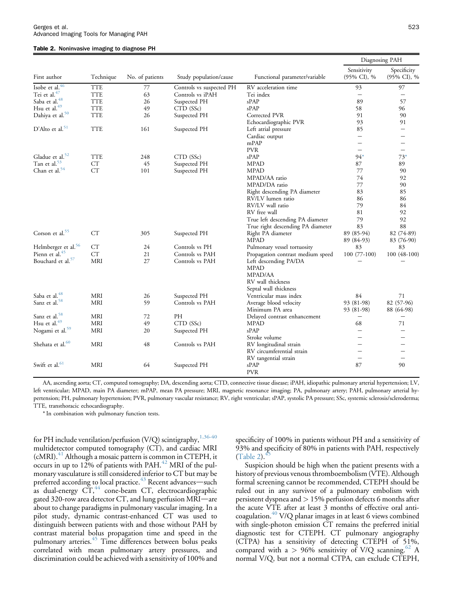#### Table 2. Noninvasive imaging to diagnose PH

| First author                    | Technique  | No. of patients | Study population/cause   | Functional parameter/variable        | Diagnosing PAH             |                            |
|---------------------------------|------------|-----------------|--------------------------|--------------------------------------|----------------------------|----------------------------|
|                                 |            |                 |                          |                                      | Sensitivity<br>(95% CI), % | Specificity<br>(95% CI), % |
| Isobe et al. <sup>46</sup>      | <b>TTE</b> | 77              | Controls vs suspected PH | RV acceleration time                 | 93                         | 97                         |
| Tei et al. <sup>47</sup>        | <b>TTE</b> | 63              | Controls vs iPAH         | Tei index                            |                            |                            |
| Saba et al. <sup>48</sup>       | <b>TTE</b> | 26              | Suspected PH             | $s$ PAP                              | 89                         | 57                         |
| Hsu et al. $49$                 | <b>TTE</b> | 49              | CTD (SSc)                | $s$ PAP                              | 58                         | 96                         |
| Dahiya et al. <sup>50</sup>     | <b>TTE</b> | 26              | Suspected PH             | Corrected PVR                        | 91                         | 90                         |
|                                 |            |                 |                          | Echocardiographic PVR                | 93                         | 91                         |
| $D'$ Alto et al. <sup>51</sup>  | <b>TTE</b> | 161             | Suspected PH             | Left atrial pressure                 | 85                         | $\qquad \qquad =$          |
|                                 |            |                 |                          | Cardiac output                       | $\overline{\phantom{0}}$   |                            |
|                                 |            |                 |                          | mPAP                                 | $\overline{\phantom{0}}$   | $\qquad \qquad$            |
|                                 |            |                 |                          | <b>PVR</b>                           | $\overline{\phantom{0}}$   | $\qquad \qquad -$          |
| Gladue et al. <sup>52</sup>     | <b>TTE</b> | 248             | CTD (SSc)                | sPAP                                 | $94*$                      | $73*$                      |
| Tan et al. <sup>53</sup>        | CT         | 45              | Suspected PH             | <b>MPAD</b>                          | 87                         | 89                         |
| Chan et al. <sup>54</sup>       | CT         | 101             | Suspected PH             | <b>MPAD</b>                          | 77                         | 90                         |
|                                 |            |                 |                          | MPAD/AA ratio                        | 74                         | 92                         |
|                                 |            |                 |                          | MPAD/DA ratio                        | 77                         | 90                         |
|                                 |            |                 |                          | Right descending PA diameter         | 83                         | 85                         |
|                                 |            |                 |                          | RV/LV lumen ratio                    | 86                         | 86                         |
|                                 |            |                 |                          |                                      |                            | 84                         |
|                                 |            |                 |                          | RV/LV wall ratio                     | 79                         |                            |
|                                 |            |                 |                          | RV free wall                         | 81                         | 92                         |
|                                 |            |                 |                          | True left descending PA diameter     | 79                         | 92                         |
|                                 |            |                 |                          | True right descending PA diameter    | 83                         | 88                         |
| Corson et al. <sup>55</sup>     | CT         | 305             | Suspected PH             | Right PA diameter                    | 89 (85-94)                 | 82 (74-89)                 |
|                                 |            |                 |                          | MPAD                                 | 89 (84-93)                 | 83 (76-90)                 |
| Helmberger et al. <sup>56</sup> | CT         | 24              | Controls vs PH           | Pulmonary vessel tortuosity          | 83                         | 83                         |
| Pienn et al. <sup>45</sup>      | CT         | 21              | Controls vs PAH          | Propagation contrast medium speed    | $100(77-100)$              | 100 (48-100)               |
| Bouchard et al. <sup>57</sup>   | <b>MRI</b> | 27              | Controls vs PAH          | Left descending PA/DA<br><b>MPAD</b> |                            |                            |
|                                 |            |                 |                          | MPAD/AA                              |                            |                            |
|                                 |            |                 |                          | RV wall thickness                    |                            |                            |
|                                 |            |                 |                          | Septal wall thickness                |                            |                            |
| Saba et al. <sup>48</sup>       | MRI        | 26              | Suspected PH             | Ventricular mass index               | 84                         | 71                         |
| Sanz et al. <sup>58</sup>       | MRI        | 59              | Controls vs PAH          | Average blood velocity               | 93 (81-98)                 | 82 (57-96)                 |
|                                 |            |                 |                          | Minimum PA area                      | 93 (81-98)                 | 88 (64-98)                 |
| Sanz et al. <sup>58</sup>       | <b>MRI</b> | 72              | PH                       | Delayed contrast enhancement         | -                          |                            |
| Hsu et al. <sup>49</sup>        | MRI        | 49              | CTD (SSc)                | <b>MPAD</b>                          | 68                         | 71                         |
| Nogami et al. <sup>59</sup>     | MRI        | 20              | Suspected PH             | sPAP                                 | $\equiv$                   | $=$                        |
|                                 |            |                 |                          | Stroke volume                        | $\overline{\phantom{0}}$   |                            |
| Shehata et al. <sup>60</sup>    | MRI        | 48              | Controls vs PAH          | RV longitudinal strain               | $\overline{\phantom{0}}$   |                            |
|                                 |            |                 |                          | RV circumferential strain            | $\equiv$                   | $\overline{\phantom{0}}$   |
|                                 |            |                 |                          | RV tangential strain                 | $\overline{\phantom{0}}$   | $\overline{\phantom{0}}$   |
| Swift et al. <sup>61</sup>      | <b>MRI</b> | 64              | Suspected PH             | sPAP                                 | 87                         | 90                         |
|                                 |            |                 |                          | <b>PVR</b>                           |                            |                            |

AA, ascending aorta; CT, computed tomography; DA, descending aorta; CTD, connective tissue disease; iPAH, idiopathic pulmonary arterial hypertension; LV, left ventricular; MPAD, main PA diameter; mPAP, mean PA pressure; MRI, magnetic resonance imaging; PA, pulmonary artery; PAH, pulmonary arterial hypertension; PH, pulmonary hypertension; PVR, pulmonary vascular resistance; RV, right ventricular; sPAP, systolic PA pressure; SSc, systemic sclerosis/scleroderma; TTE, transthoracic echocardiography.

\* In combination with pulmonary function tests.

for PH include ventilation/perfusion (V/Q) scintigraphy,  $1,36-40$ multidetector computed tomography (CT), and cardiac MRI  $(cMRI).<sup>41</sup>$  $(cMRI).<sup>41</sup>$  $(cMRI).<sup>41</sup>$  Although a mosaic pattern is common in CTEPH, it occurs in up to 12% of patients with PAH.<sup>[42](#page-6-0)</sup> MRI of the pulmonary vasculature is still considered inferior to CT but may be preferred according to local practice. $43$  Recent advances—such as dual-energy  $CT<sub>144</sub>$  $CT<sub>144</sub>$  $CT<sub>144</sub>$  cone-beam CT, electrocardiographic gated 320-row area detector  $CT$ , and lung perfusion  $MRI$ —are about to change paradigms in pulmonary vascular imaging. In a pilot study, dynamic contrast-enhanced CT was used to distinguish between patients with and those without PAH by contrast material bolus propagation time and speed in the pulmonary arteries.<sup>[45](#page-6-0)</sup> Time differences between bolus peaks correlated with mean pulmonary artery pressures, and discrimination could be achieved with a sensitivity of 100% and

specificity of 100% in patients without PH and a sensitivity of 93% and specificity of 80% in patients with PAH, respectively  $(Table 2).<sup>†</sup>$ 

Suspicion should be high when the patient presents with a history of previous venous thromboembolism (VTE). Although formal screening cannot be recommended, CTEPH should be ruled out in any survivor of a pulmonary embolism with persistent dyspnea and > 15% perfusion defects 6 months after the acute VTE after at least 3 months of effective oral anti-coagulation.<sup>[40](#page-6-0)</sup> V/Q planar images in at least 6 views combined with single-photon emission CT remains the preferred initial diagnostic test for CTEPH. CT pulmonary angiography (CTPA) has a sensitivity of detecting CTEPH of 51%, compared with a  $> 96\%$  sensitivity of V/Q scanning.<sup>62</sup> A normal V/Q, but not a normal CTPA, can exclude CTEPH,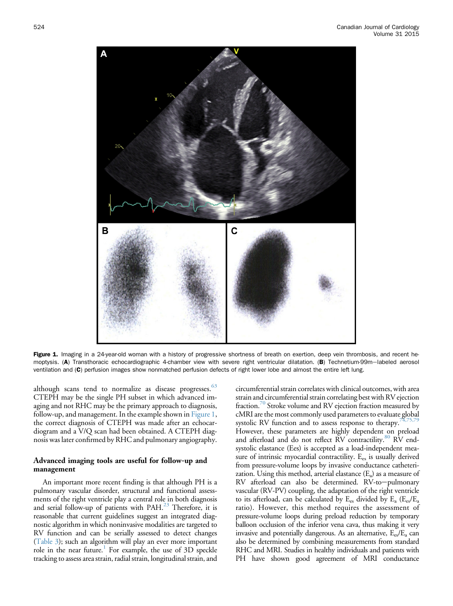

Figure 1. Imaging in a 24-year-old woman with a history of progressive shortness of breath on exertion, deep vein thrombosis, and recent hemoptysis. (A) Transthoracic echocardiographic 4-chamber view with severe right ventricular dilatation. (B) Technetium-99m-labeled aerosol ventilation and (C) perfusion images show nonmatched perfusion defects of right lower lobe and almost the entire left lung.

although scans tend to normalize as disease progresses.<sup>[63](#page-6-0)</sup> CTEPH may be the single PH subset in which advanced imaging and not RHC may be the primary approach to diagnosis, follow-up, and management. In the example shown in Figure 1, the correct diagnosis of CTEPH was made after an echocardiogram and a V/Q scan had been obtained. A CTEPH diagnosis was later confirmed by RHC and pulmonary angiography.

## Advanced imaging tools are useful for follow-up and management

An important more recent finding is that although PH is a pulmonary vascular disorder, structural and functional assessments of the right ventricle play a central role in both diagnosis and serial follow-up of patients with PAH.<sup>23</sup> Therefore, it is reasonable that current guidelines suggest an integrated diagnostic algorithm in which noninvasive modalities are targeted to RV function and can be serially assessed to detect changes [\(Table 3\)](#page-4-0); such an algorithm will play an ever more important role in the near future.<sup>1</sup> For example, the use of 3D speckle tracking to assess area strain, radial strain, longitudinal strain, and circumferential strain correlates with clinical outcomes, with area strain and circumferential strain correlating best with RV ejection fraction.<sup>70</sup> Stroke volume and RV ejection fraction measured by cMRI are the most commonly used parameters to evaluate global systolic RV function and to assess response to therapy.<sup>7</sup> However, these parameters are highly dependent on preload and afterload and do not reflect RV contractility.<sup>[80](#page-7-0)</sup> RV endsystolic elastance (Ees) is accepted as a load-independent measure of intrinsic myocardial contractility. E<sub>es</sub> is usually derived from pressure-volume loops by invasive conductance catheterization. Using this method, arterial elastance  $(E_a)$  as a measure of  $RV$  afterload can also be determined.  $RV$ -to-pulmonary vascular (RV-PV) coupling, the adaptation of the right ventricle to its afterload, can be calculated by  $E_{es}$  divided by  $E_{a}$  ( $E_{es}/E_{a}$ ratio). However, this method requires the assessment of pressure-volume loops during preload reduction by temporary balloon occlusion of the inferior vena cava, thus making it very invasive and potentially dangerous. As an alternative,  $E_{es}/E_a$  can also be determined by combining measurements from standard RHC and MRI. Studies in healthy individuals and patients with PH have shown good agreement of MRI conductance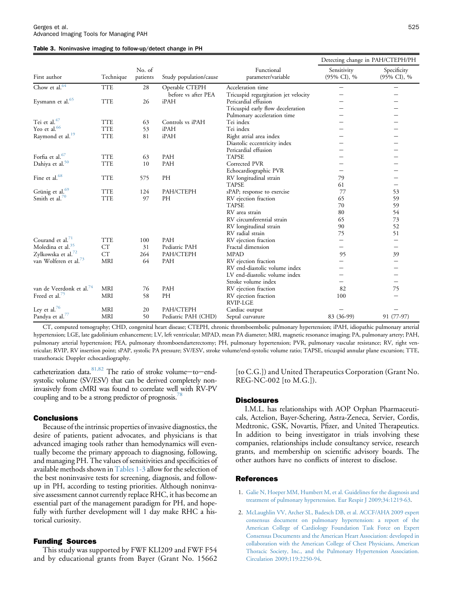#### <span id="page-4-0"></span>Table 3. Noninvasive imaging to follow-up/detect change in PH

|                                      |                     | No. of<br>patients |                        |                                      | Detecting change in PAH/CTEPH/PH |                                |
|--------------------------------------|---------------------|--------------------|------------------------|--------------------------------------|----------------------------------|--------------------------------|
| First author                         | Technique           |                    | Study population/cause | Functional<br>parameter/variable     | Sensitivity<br>(95% CI), %       | Specificity<br>(95% CI), %     |
| Chow et al. <sup>64</sup>            | <b>TTE</b>          | 28                 | Operable CTEPH         | Acceleration time                    | $\overline{\phantom{0}}$         | $\qquad \qquad \longleftarrow$ |
|                                      |                     |                    | before vs after PEA    | Tricuspid regurgitation jet velocity |                                  |                                |
| Eysmann et al. <sup>65</sup>         | <b>TTE</b>          | 26                 | iPAH                   | Pericardial effusion                 |                                  |                                |
|                                      |                     |                    |                        | Tricuspid early flow deceleration    |                                  |                                |
|                                      |                     |                    |                        | Pulmonary acceleration time          |                                  |                                |
| Tei et al. <sup>47</sup>             | <b>TTE</b>          | 63                 | Controls vs iPAH       | Tei index                            |                                  |                                |
| Yeo et al. <sup>66</sup>             | <b>TTE</b>          | 53                 | iPAH                   | Tei index                            |                                  |                                |
| Raymond et al. <sup>19</sup>         | <b>TTE</b>          | 81                 | iPAH                   | Right atrial area index              |                                  |                                |
|                                      |                     |                    |                        | Diastolic eccentricity index         |                                  |                                |
|                                      |                     |                    |                        | Pericardial effusion                 |                                  |                                |
| Forfia et al. <sup>67</sup>          | <b>TTE</b>          | 63                 | PAH                    | <b>TAPSE</b>                         |                                  |                                |
| Dahiya et al. <sup>50</sup>          | <b>TTE</b>          | 10                 | PAH                    | Corrected PVR                        |                                  |                                |
|                                      |                     |                    |                        | Echocardiographic PVR                |                                  |                                |
| Fine et al. <sup>68</sup>            | <b>TTE</b>          | 575                | PH                     | RV longitudinal strain               | 79                               |                                |
|                                      |                     |                    |                        | <b>TAPSE</b>                         | 61                               | $\overline{\phantom{0}}$       |
| Grünig et al. <sup>69</sup>          | <b>TTE</b>          | 124                | PAH/CTEPH              | sPAP; response to exercise           | 77                               | 53                             |
| Smith et al. <sup>70</sup>           | <b>TTE</b>          | 97                 | PH                     | RV ejection fraction                 | 65                               | 59                             |
|                                      |                     |                    |                        | <b>TAPSE</b>                         | 70                               | 59                             |
|                                      |                     |                    |                        | RV area strain                       | 80                               | 54                             |
|                                      |                     |                    |                        | RV circumferential strain            | 65                               | 73                             |
|                                      |                     |                    |                        | RV longitudinal strain               | 90                               | 52                             |
|                                      |                     |                    |                        | RV radial strain                     | 75                               | 51                             |
| Courand et al. $71$                  | <b>TTE</b>          | 100                | PAH                    | RV ejection fraction                 |                                  | $\overline{\phantom{0}}$       |
| Moledina et al. <sup>35</sup>        | ${\cal C} {\cal T}$ | 31                 | Pediatric PAH          | Fractal dimension                    |                                  | $\overline{\phantom{0}}$       |
| Zylkowska et al. <sup>72</sup>       | CT                  | 264                | PAH/CTEPH              | <b>MPAD</b>                          | 95                               | 39                             |
| van Wolferen et al. <sup>73</sup>    | <b>MRI</b>          | 64                 | PAH                    | RV ejection fraction                 |                                  |                                |
|                                      |                     |                    |                        | RV end-diastolic volume index        |                                  | $\overline{\phantom{0}}$       |
|                                      |                     |                    |                        | LV end-diastolic volume index        |                                  |                                |
|                                      |                     |                    |                        | Stroke volume index                  |                                  |                                |
| van de Veerdonk et al. <sup>74</sup> | <b>MRI</b>          | 76                 | PAH                    | RV ejection fraction                 | 82                               | 75                             |
| Freed et al. <sup>75</sup>           | MRI                 | 58                 | PH                     | RV ejection fraction                 | 100                              |                                |
|                                      |                     |                    |                        | RVIP-LGE                             |                                  |                                |
| Ley et al. <sup>76</sup>             | MRI                 | 20                 | PAH/CTEPH              | Cardiac output                       |                                  |                                |
| Pandya et al. <sup>77</sup>          | <b>MRI</b>          | 50                 | Pediatric PAH (CHD)    | Septal curvature                     | 83 (36-99)                       | 91 (77-97)                     |

CT, computed tomography; CHD, congenital heart disease; CTEPH, chronic thromboembolic pulmonary hypertension; iPAH, idiopathic pulmonary arterial hypertension; LGE, late gadolinium enhancement; LV, left ventricular; MPAD, mean PA diameter; MRI, magnetic resonance imaging; PA, pulmonary artery; PAH, pulmonary arterial hypertension; PEA, pulmonary thromboendarterectomy; PH, pulmonary hypertension; PVR, pulmonary vascular resistance; RV, right ventricular; RVIP, RV insertion point; sPAP, systolic PA pressure; SV/ESV, stroke volume/end-systolic volume ratio; TAPSE, tricuspid annular plane excursion; TTE, transthoracic Doppler echocardiography.

catheterization data. $81,82$  The ratio of stroke volume-to-endsystolic volume (SV/ESV) that can be derived completely noninvasively from cMRI was found to correlate well with RV-PV coupling and to be a strong predictor of prognosis.<sup>78</sup>

#### Conclusions

Because of the intrinsic properties of invasive diagnostics, the desire of patients, patient advocates, and physicians is that advanced imaging tools rather than hemodynamics will eventually become the primary approach to diagnosing, following, and managing PH. The values of sensitivities and specificities of available methods shown in [Tables 1-3](#page-1-0) allow for the selection of the best noninvasive tests for screening, diagnosis, and followup in PH, according to testing priorities. Although noninvasive assessment cannot currently replace RHC, it has become an essential part of the management paradigm for PH, and hopefully with further development will 1 day make RHC a historical curiosity.

# Funding Sources

This study was supported by FWF KLI209 and FWF F54 and by educational grants from Bayer (Grant No. 15662 [to C.G.]) and United Therapeutics Corporation (Grant No. REG-NC-002 [to M.G.]).

#### **Disclosures**

I.M.L. has relationships with AOP Orphan Pharmaceuticals, Actelion, Bayer-Schering, Astra-Zeneca, Servier, Cordis, Medtronic, GSK, Novartis, Pfizer, and United Therapeutics. In addition to being investigator in trials involving these companies, relationships include consultancy service, research grants, and membership on scientific advisory boards. The other authors have no conflicts of interest to disclose.

# **References**

- 1. [Galie N, Hoeper MM, Humbert M, et al. Guidelines for the diagnosis and](http://refhub.elsevier.com/S0828-282X(15)00054-9/sref1) [treatment of pulmonary hypertension. Eur Respir J 2009;34:1219-63](http://refhub.elsevier.com/S0828-282X(15)00054-9/sref1).
- 2. [McLaughlin VV, Archer SL, Badesch DB, et al. ACCF/AHA 2009 expert](http://refhub.elsevier.com/S0828-282X(15)00054-9/sref2) [consensus document on pulmonary hypertension: a report of the](http://refhub.elsevier.com/S0828-282X(15)00054-9/sref2) [American College of Cardiology Foundation Task Force on Expert](http://refhub.elsevier.com/S0828-282X(15)00054-9/sref2) [Consensus Documents and the American Heart Association: developed in](http://refhub.elsevier.com/S0828-282X(15)00054-9/sref2) [collaboration with the American College of Chest Physicians, American](http://refhub.elsevier.com/S0828-282X(15)00054-9/sref2) [Thoracic Society, Inc., and the Pulmonary Hypertension Association.](http://refhub.elsevier.com/S0828-282X(15)00054-9/sref2) [Circulation 2009;119:2250-94](http://refhub.elsevier.com/S0828-282X(15)00054-9/sref2).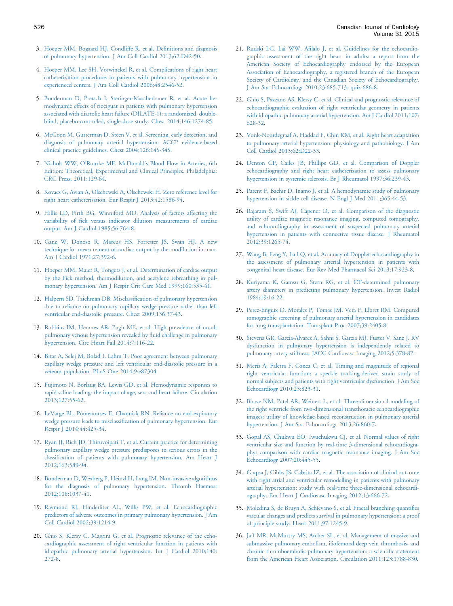- <span id="page-5-0"></span>3. [Hoeper MM, Bogaard HJ, Condliffe R, et al. De](http://refhub.elsevier.com/S0828-282X(15)00054-9/sref16)finitions and diagnosis [of pulmonary hypertension. J Am Coll Cardiol 2013;62:D42-50](http://refhub.elsevier.com/S0828-282X(15)00054-9/sref16).
- 4. [Hoeper MM, Lee SH, Voswinckel R, et al. Complications of right heart](http://refhub.elsevier.com/S0828-282X(15)00054-9/sref3) [catheterization procedures in patients with pulmonary hypertension in](http://refhub.elsevier.com/S0828-282X(15)00054-9/sref3) [experienced centers. J Am Coll Cardiol 2006;48:2546-52.](http://refhub.elsevier.com/S0828-282X(15)00054-9/sref3)
- 5. [Bonderman D, Pretsch I, Steringer-Mascherbauer R, et al. Acute he](http://refhub.elsevier.com/S0828-282X(15)00054-9/sref4)[modynamic effects of riociguat in patients with pulmonary hypertension](http://refhub.elsevier.com/S0828-282X(15)00054-9/sref4) [associated with diastolic heart failure \(DILATE-1\): a randomized, double](http://refhub.elsevier.com/S0828-282X(15)00054-9/sref4)[blind, placebo-controlled, single-dose study. Chest 2014;146:1274-85.](http://refhub.elsevier.com/S0828-282X(15)00054-9/sref4)
- 6. [McGoon M, Gutterman D, Steen V, et al. Screening, early detection, and](http://refhub.elsevier.com/S0828-282X(15)00054-9/sref5) [diagnosis of pulmonary arterial hypertension: ACCP evidence-based](http://refhub.elsevier.com/S0828-282X(15)00054-9/sref5) [clinical practice guidelines. Chest 2004;126:14S-34S](http://refhub.elsevier.com/S0828-282X(15)00054-9/sref5).
- 7. Nichols WW, O'Rourke MF. McDonald'[s Blood Flow in Arteries, 6th](http://refhub.elsevier.com/S0828-282X(15)00054-9/sref6) [Edition: Theoretical, Experimental and Clinical Principles. Philadelphia:](http://refhub.elsevier.com/S0828-282X(15)00054-9/sref6) [CRC Press, 2011:129-64.](http://refhub.elsevier.com/S0828-282X(15)00054-9/sref6)
- 8. [Kovacs G, Avian A, Olschewski A, Olschewski H. Zero reference level for](http://refhub.elsevier.com/S0828-282X(15)00054-9/sref7) [right heart catheterisation. Eur Respir J 2013;42:1586-94](http://refhub.elsevier.com/S0828-282X(15)00054-9/sref7).
- 9. [Hillis LD, Firth BG, Winniford MD. Analysis of factors affecting the](http://refhub.elsevier.com/S0828-282X(15)00054-9/sref8) variability of fi[ck versus indicator dilution measurements of cardiac](http://refhub.elsevier.com/S0828-282X(15)00054-9/sref8) [output. Am J Cardiol 1985;56:764-8](http://refhub.elsevier.com/S0828-282X(15)00054-9/sref8).
- 10. [Ganz W, Donoso R, Marcus HS, Forrester JS, Swan HJ. A new](http://refhub.elsevier.com/S0828-282X(15)00054-9/sref9) [technique for measurement of cardiac output by thermodilution in man.](http://refhub.elsevier.com/S0828-282X(15)00054-9/sref9) [Am J Cardiol 1971;27:392-6](http://refhub.elsevier.com/S0828-282X(15)00054-9/sref9).
- 11. [Hoeper MM, Maier R, Tongers J, et al. Determination of cardiac output](http://refhub.elsevier.com/S0828-282X(15)00054-9/sref10) [by the Fick method, thermodilution, and acetylene rebreathing in pul](http://refhub.elsevier.com/S0828-282X(15)00054-9/sref10)[monary hypertension. Am J Respir Crit Care Med 1999;160:535-41.](http://refhub.elsevier.com/S0828-282X(15)00054-9/sref10)
- 12. [Halpern SD, Taichman DB. Misclassi](http://refhub.elsevier.com/S0828-282X(15)00054-9/sref11)fication of pulmonary hypertension [due to reliance on pulmonary capillary wedge pressure rather than left](http://refhub.elsevier.com/S0828-282X(15)00054-9/sref11) [ventricular end-diastolic pressure. Chest 2009;136:37-43.](http://refhub.elsevier.com/S0828-282X(15)00054-9/sref11)
- 13. [Robbins IM, Hemnes AR, Pugh ME, et al. High prevalence of occult](http://refhub.elsevier.com/S0828-282X(15)00054-9/sref12) [pulmonary venous hypertension revealed by](http://refhub.elsevier.com/S0828-282X(15)00054-9/sref12) fluid challenge in pulmonary [hypertension. Circ Heart Fail 2014;7:116-22.](http://refhub.elsevier.com/S0828-282X(15)00054-9/sref12)
- 14. [Bitar A, Selej M, Bolad I, Lahm T. Poor agreement between pulmonary](http://refhub.elsevier.com/S0828-282X(15)00054-9/sref13) [capillary wedge pressure and left ventricular end-diastolic pressure in a](http://refhub.elsevier.com/S0828-282X(15)00054-9/sref13) [veteran population. PLoS One 2014;9:e87304.](http://refhub.elsevier.com/S0828-282X(15)00054-9/sref13)
- 15. [Fujimoto N, Borlaug BA, Lewis GD, et al. Hemodynamic responses to](http://refhub.elsevier.com/S0828-282X(15)00054-9/sref14) [rapid saline loading: the impact of age, sex, and heart failure. Circulation](http://refhub.elsevier.com/S0828-282X(15)00054-9/sref14) [2013;127:55-62.](http://refhub.elsevier.com/S0828-282X(15)00054-9/sref14)
- 16. [LeVarge BL, Pomerantsev E, Channick RN. Reliance on end-expiratory](http://refhub.elsevier.com/S0828-282X(15)00054-9/sref15) wedge pressure leads to misclassifi[cation of pulmonary hypertension. Eur](http://refhub.elsevier.com/S0828-282X(15)00054-9/sref15) [Respir J 2014;44:425-34.](http://refhub.elsevier.com/S0828-282X(15)00054-9/sref15)
- 17. [Ryan JJ, Rich JD, Thiruvoipati T, et al. Current practice for determining](http://refhub.elsevier.com/S0828-282X(15)00054-9/sref17) [pulmonary capillary wedge pressure predisposes to serious errors in the](http://refhub.elsevier.com/S0828-282X(15)00054-9/sref17) classifi[cation of patients with pulmonary hypertension. Am Heart J](http://refhub.elsevier.com/S0828-282X(15)00054-9/sref17) [2012;163:589-94.](http://refhub.elsevier.com/S0828-282X(15)00054-9/sref17)
- 18. [Bonderman D, Wexberg P, Heinzl H, Lang IM. Non-invasive algorithms](http://refhub.elsevier.com/S0828-282X(15)00054-9/sref18) [for the diagnosis of pulmonary hypertension. Thromb Haemost](http://refhub.elsevier.com/S0828-282X(15)00054-9/sref18) [2012;108:1037-41.](http://refhub.elsevier.com/S0828-282X(15)00054-9/sref18)
- 19. [Raymond RJ, Hinderliter AL, Willis PW, et al. Echocardiographic](http://refhub.elsevier.com/S0828-282X(15)00054-9/sref19) [predictors of adverse outcomes in primary pulmonary hypertension. J Am](http://refhub.elsevier.com/S0828-282X(15)00054-9/sref19) [Coll Cardiol 2002;39:1214-9.](http://refhub.elsevier.com/S0828-282X(15)00054-9/sref19)
- 20. [Ghio S, Klersy C, Magrini G, et al. Prognostic relevance of the echo](http://refhub.elsevier.com/S0828-282X(15)00054-9/sref20)[cardiographic assessment of right ventricular function in patients with](http://refhub.elsevier.com/S0828-282X(15)00054-9/sref20) [idiopathic pulmonary arterial hypertension. Int J Cardiol 2010;140:](http://refhub.elsevier.com/S0828-282X(15)00054-9/sref20) [272-8.](http://refhub.elsevier.com/S0828-282X(15)00054-9/sref20)
- 21. Rudski LG, Lai WW, Afi[lalo J, et al. Guidelines for the echocardio](http://refhub.elsevier.com/S0828-282X(15)00054-9/sref21)[graphic assessment of the right heart in adults: a report from the](http://refhub.elsevier.com/S0828-282X(15)00054-9/sref21) [American Society of Echocardiography endorsed by the European](http://refhub.elsevier.com/S0828-282X(15)00054-9/sref21) [Association of Echocardiography, a registered branch of the European](http://refhub.elsevier.com/S0828-282X(15)00054-9/sref21) [Society of Cardiology, and the Canadian Society of Echocardiography.](http://refhub.elsevier.com/S0828-282X(15)00054-9/sref21) [J Am Soc Echocardiogr 2010;23:685-713. quiz 686-8.](http://refhub.elsevier.com/S0828-282X(15)00054-9/sref21)
- 22. [Ghio S, Pazzano AS, Klersy C, et al. Clinical and prognostic relevance of](http://refhub.elsevier.com/S0828-282X(15)00054-9/sref22) [echocardiographic evaluation of right ventricular geometry in patients](http://refhub.elsevier.com/S0828-282X(15)00054-9/sref22) [with idiopathic pulmonary arterial hypertension. Am J Cardiol 2011;107:](http://refhub.elsevier.com/S0828-282X(15)00054-9/sref22) [628-32.](http://refhub.elsevier.com/S0828-282X(15)00054-9/sref22)
- 23. [Vonk-Noordegraaf A, Haddad F, Chin KM, et al. Right heart adaptation](http://refhub.elsevier.com/S0828-282X(15)00054-9/sref23) [to pulmonary arterial hypertension: physiology and pathobiology. J Am](http://refhub.elsevier.com/S0828-282X(15)00054-9/sref23) [Coll Cardiol 2013;62:D22-33](http://refhub.elsevier.com/S0828-282X(15)00054-9/sref23).
- 24. [Denton CP, Cailes JB, Phillips GD, et al. Comparison of Doppler](http://refhub.elsevier.com/S0828-282X(15)00054-9/sref24) [echocardiography and right heart catheterization to assess pulmonary](http://refhub.elsevier.com/S0828-282X(15)00054-9/sref24) [hypertension in systemic sclerosis. Br J Rheumatol 1997;36:239-43](http://refhub.elsevier.com/S0828-282X(15)00054-9/sref24).
- 25. [Parent F, Bachir D, Inamo J, et al. A hemodynamic study of pulmonary](http://refhub.elsevier.com/S0828-282X(15)00054-9/sref25) [hypertension in sickle cell disease. N Engl J Med 2011;365:44-53.](http://refhub.elsevier.com/S0828-282X(15)00054-9/sref25)
- 26. [Rajaram S, Swift AJ, Capener D, et al. Comparison of the diagnostic](http://refhub.elsevier.com/S0828-282X(15)00054-9/sref26) [utility of cardiac magnetic resonance imaging, computed tomography,](http://refhub.elsevier.com/S0828-282X(15)00054-9/sref26) [and echocardiography in assessment of suspected pulmonary arterial](http://refhub.elsevier.com/S0828-282X(15)00054-9/sref26) [hypertension in patients with connective tissue disease. J Rheumatol](http://refhub.elsevier.com/S0828-282X(15)00054-9/sref26) [2012;39:1265-74.](http://refhub.elsevier.com/S0828-282X(15)00054-9/sref26)
- 27. [Wang B, Feng Y, Jia LQ, et al. Accuracy of Doppler echocardiography in](http://refhub.elsevier.com/S0828-282X(15)00054-9/sref27) [the assessment of pulmonary arterial hypertension in patients with](http://refhub.elsevier.com/S0828-282X(15)00054-9/sref27) [congenital heart disease. Eur Rev Med Pharmacol Sci 2013;17:923-8](http://refhub.elsevier.com/S0828-282X(15)00054-9/sref27).
- 28. [Kuriyama K, Gamsu G, Stern RG, et al. CT-determined pulmonary](http://refhub.elsevier.com/S0828-282X(15)00054-9/sref28) [artery diameters in predicting pulmonary hypertension. Invest Radiol](http://refhub.elsevier.com/S0828-282X(15)00054-9/sref28) [1984;19:16-22.](http://refhub.elsevier.com/S0828-282X(15)00054-9/sref28)
- 29. [Perez-Enguix D, Morales P, Tomas JM, Vera F, Lloret RM. Computed](http://refhub.elsevier.com/S0828-282X(15)00054-9/sref29) [tomographic screening of pulmonary arterial hypertension in candidates](http://refhub.elsevier.com/S0828-282X(15)00054-9/sref29) [for lung transplantation. Transplant Proc 2007;39:2405-8.](http://refhub.elsevier.com/S0828-282X(15)00054-9/sref29)
- 30. [Stevens GR, Garcia-Alvarez A, Sahni S, Garcia MJ, Fuster V, Sanz J. RV](http://refhub.elsevier.com/S0828-282X(15)00054-9/sref30) [dysfunction in pulmonary hypertension is independently related to](http://refhub.elsevier.com/S0828-282X(15)00054-9/sref30) [pulmonary artery stiffness. JACC Cardiovasc Imaging 2012;5:378-87.](http://refhub.elsevier.com/S0828-282X(15)00054-9/sref30)
- 31. [Meris A, Faletra F, Conca C, et al. Timing and magnitude of regional](http://refhub.elsevier.com/S0828-282X(15)00054-9/sref31) [right ventricular function: a speckle tracking-derived strain study of](http://refhub.elsevier.com/S0828-282X(15)00054-9/sref31) [normal subjects and patients with right ventricular dysfunction. J Am Soc](http://refhub.elsevier.com/S0828-282X(15)00054-9/sref31) [Echocardiogr 2010;23:823-31.](http://refhub.elsevier.com/S0828-282X(15)00054-9/sref31)
- 32. [Bhave NM, Patel AR, Weinert L, et al. Three-dimensional modeling of](http://refhub.elsevier.com/S0828-282X(15)00054-9/sref32) [the right ventricle from two-dimensional transthoracic echocardiographic](http://refhub.elsevier.com/S0828-282X(15)00054-9/sref32) [images: utility of knowledge-based reconstruction in pulmonary arterial](http://refhub.elsevier.com/S0828-282X(15)00054-9/sref32) [hypertension. J Am Soc Echocardiogr 2013;26:860-7](http://refhub.elsevier.com/S0828-282X(15)00054-9/sref32).
- 33. [Gopal AS, Chukwu EO, Iwuchukwu CJ, et al. Normal values of right](http://refhub.elsevier.com/S0828-282X(15)00054-9/sref33) [ventricular size and function by real-time 3-dimensional echocardiogra](http://refhub.elsevier.com/S0828-282X(15)00054-9/sref33)[phy: comparison with cardiac magnetic resonance imaging. J Am Soc](http://refhub.elsevier.com/S0828-282X(15)00054-9/sref33) [Echocardiogr 2007;20:445-55.](http://refhub.elsevier.com/S0828-282X(15)00054-9/sref33)
- 34. [Grapsa J, Gibbs JS, Cabrita IZ, et al. The association of clinical outcome](http://refhub.elsevier.com/S0828-282X(15)00054-9/sref34) [with right atrial and ventricular remodelling in patients with pulmonary](http://refhub.elsevier.com/S0828-282X(15)00054-9/sref34) [arterial hypertension: study with real-time three-dimensional echocardi](http://refhub.elsevier.com/S0828-282X(15)00054-9/sref34)[ography. Eur Heart J Cardiovasc Imaging 2012;13:666-72.](http://refhub.elsevier.com/S0828-282X(15)00054-9/sref34)
- 35. [Moledina S, de Bruyn A, Schievano S, et al. Fractal branching quanti](http://refhub.elsevier.com/S0828-282X(15)00054-9/sref35)fies [vascular changes and predicts survival in pulmonary hypertension: a proof](http://refhub.elsevier.com/S0828-282X(15)00054-9/sref35) [of principle study. Heart 2011;97:1245-9](http://refhub.elsevier.com/S0828-282X(15)00054-9/sref35).
- 36. [Jaff MR, McMurtry MS, Archer SL, et al. Management of massive and](http://refhub.elsevier.com/S0828-282X(15)00054-9/sref36) [submassive pulmonary embolism, iliofemoral deep vein thrombosis, and](http://refhub.elsevier.com/S0828-282X(15)00054-9/sref36) [chronic thromboembolic pulmonary hypertension: a scienti](http://refhub.elsevier.com/S0828-282X(15)00054-9/sref36)fic statement [from the American Heart Association. Circulation 2011;123:1788-830.](http://refhub.elsevier.com/S0828-282X(15)00054-9/sref36)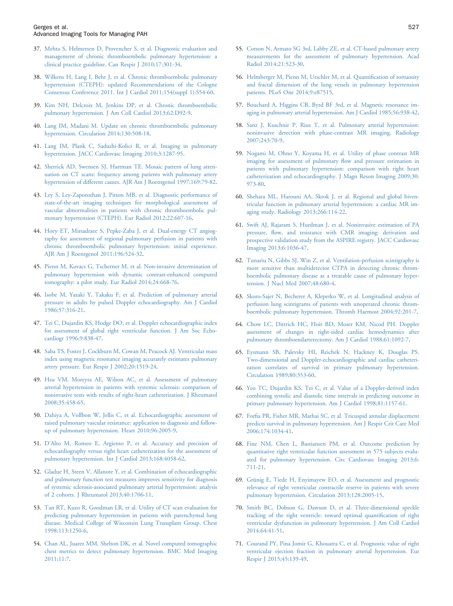- <span id="page-6-0"></span>37. [Mehta S, Helmersen D, Provencher S, et al. Diagnostic evaluation and](http://refhub.elsevier.com/S0828-282X(15)00054-9/sref37) [management of chronic thromboembolic pulmonary hypertension: a](http://refhub.elsevier.com/S0828-282X(15)00054-9/sref37) [clinical practice guideline. Can Respir J 2010;17:301-34.](http://refhub.elsevier.com/S0828-282X(15)00054-9/sref37)
- 38. [Wilkens H, Lang I, Behr J, et al. Chronic thromboembolic pulmonary](http://refhub.elsevier.com/S0828-282X(15)00054-9/sref38) [hypertension \(CTEPH\): updated Recommendations of the Cologne](http://refhub.elsevier.com/S0828-282X(15)00054-9/sref38) [Consensus Conference 2011. Int J Cardiol 2011;154\(suppl 1\):S54-60](http://refhub.elsevier.com/S0828-282X(15)00054-9/sref38).
- 39. [Kim NH, Delcroix M, Jenkins DP, et al. Chronic thromboembolic](http://refhub.elsevier.com/S0828-282X(15)00054-9/sref39) [pulmonary hypertension. J Am Coll Cardiol 2013;62:D92-9](http://refhub.elsevier.com/S0828-282X(15)00054-9/sref39).
- 40. [Lang IM, Madani M. Update on chronic thromboembolic pulmonary](http://refhub.elsevier.com/S0828-282X(15)00054-9/sref40) [hypertension. Circulation 2014;130:508-18.](http://refhub.elsevier.com/S0828-282X(15)00054-9/sref40)
- 41. [Lang IM, Plank C, Sadushi-Kolici R, et al. Imaging in pulmonary](http://refhub.elsevier.com/S0828-282X(15)00054-9/sref41) [hypertension. JACC Cardiovasc Imaging 2010;3:1287-95](http://refhub.elsevier.com/S0828-282X(15)00054-9/sref41).
- 42. [Sherrick AD, Swensen SJ, Hartman TE. Mosaic pattern of lung atten](http://refhub.elsevier.com/S0828-282X(15)00054-9/sref42)[uation on CT scans: frequency among patients with pulmonary artery](http://refhub.elsevier.com/S0828-282X(15)00054-9/sref42) [hypertension of different causes. AJR Am J Roentgenol 1997;169:79-82](http://refhub.elsevier.com/S0828-282X(15)00054-9/sref42).
- 43. [Ley S, Ley-Zaporozhan J, Pitton MB, et al. Diagnostic performance of](http://refhub.elsevier.com/S0828-282X(15)00054-9/sref43) [state-of-the-art imaging techniques for morphological assessment of](http://refhub.elsevier.com/S0828-282X(15)00054-9/sref43) [vascular abnormalities in patients with chronic thromboembolic pul](http://refhub.elsevier.com/S0828-282X(15)00054-9/sref43)[monary hypertension \(CTEPH\). Eur Radiol 2012;22:607-16.](http://refhub.elsevier.com/S0828-282X(15)00054-9/sref43)
- 44. [Hoey ET, Mirsadraee S, Pepke-Zaba J, et al. Dual-energy CT angiog](http://refhub.elsevier.com/S0828-282X(15)00054-9/sref44)[raphy for assessment of regional pulmonary perfusion in patients with](http://refhub.elsevier.com/S0828-282X(15)00054-9/sref44) [chronic thromboembolic pulmonary hypertension: initial experience.](http://refhub.elsevier.com/S0828-282X(15)00054-9/sref44) [AJR Am J Roentgenol 2011;196:524-32.](http://refhub.elsevier.com/S0828-282X(15)00054-9/sref44)
- 45. [Pienn M, Kovacs G, Tscherner M, et al. Non-invasive determination of](http://refhub.elsevier.com/S0828-282X(15)00054-9/sref45) [pulmonary hypertension with dynamic contrast-enhanced computed](http://refhub.elsevier.com/S0828-282X(15)00054-9/sref45) [tomography: a pilot study. Eur Radiol 2014;24:668-76](http://refhub.elsevier.com/S0828-282X(15)00054-9/sref45).
- 46. [Isobe M, Yazaki Y, Takaku F, et al. Prediction of pulmonary arterial](http://refhub.elsevier.com/S0828-282X(15)00054-9/sref46) [pressure in adults by pulsed Doppler echocardiography. Am J Cardiol](http://refhub.elsevier.com/S0828-282X(15)00054-9/sref46) [1986;57:316-21.](http://refhub.elsevier.com/S0828-282X(15)00054-9/sref46)
- 47. [Tei C, Dujardin KS, Hodge DO, et al. Doppler echocardiographic index](http://refhub.elsevier.com/S0828-282X(15)00054-9/sref47) [for assessment of global right ventricular function. J Am Soc Echo](http://refhub.elsevier.com/S0828-282X(15)00054-9/sref47)[cardiogr 1996;9:838-47](http://refhub.elsevier.com/S0828-282X(15)00054-9/sref47).
- 48. [Saba TS, Foster J, Cockburn M, Cowan M, Peacock AJ. Ventricular mass](http://refhub.elsevier.com/S0828-282X(15)00054-9/sref48) [index using magnetic resonance imaging accurately estimates pulmonary](http://refhub.elsevier.com/S0828-282X(15)00054-9/sref48) [artery pressure. Eur Respir J 2002;20:1519-24.](http://refhub.elsevier.com/S0828-282X(15)00054-9/sref48)
- 49. [Hsu VM, Moreyra AE, Wilson AC, et al. Assessment of pulmonary](http://refhub.elsevier.com/S0828-282X(15)00054-9/sref49) [arterial hypertension in patients with systemic sclerosis: comparison of](http://refhub.elsevier.com/S0828-282X(15)00054-9/sref49) [noninvasive tests with results of right-heart catheterization. J Rheumatol](http://refhub.elsevier.com/S0828-282X(15)00054-9/sref49) [2008;35:458-65.](http://refhub.elsevier.com/S0828-282X(15)00054-9/sref49)
- 50. [Dahiya A, Vollbon W, Jellis C, et al. Echocardiographic assessment of](http://refhub.elsevier.com/S0828-282X(15)00054-9/sref50) [raised pulmonary vascular resistance: application to diagnosis and follow](http://refhub.elsevier.com/S0828-282X(15)00054-9/sref50)[up of pulmonary hypertension. Heart 2010;96:2005-9](http://refhub.elsevier.com/S0828-282X(15)00054-9/sref50).
- 51. D'[Alto M, Romeo E, Argiento P, et al. Accuracy and precision of](http://refhub.elsevier.com/S0828-282X(15)00054-9/sref51) [echocardiography versus right heart catheterization for the assessment of](http://refhub.elsevier.com/S0828-282X(15)00054-9/sref51) [pulmonary hypertension. Int J Cardiol 2013;168:4058-62](http://refhub.elsevier.com/S0828-282X(15)00054-9/sref51).
- 52. [Gladue H, Steen V, Allanore Y, et al. Combination of echocardiographic](http://refhub.elsevier.com/S0828-282X(15)00054-9/sref52) [and pulmonary function test measures improves sensitivity for diagnosis](http://refhub.elsevier.com/S0828-282X(15)00054-9/sref52) [of systemic sclerosis-associated pulmonary arterial hypertension: analysis](http://refhub.elsevier.com/S0828-282X(15)00054-9/sref52) [of 2 cohorts. J Rheumatol 2013;40:1706-11.](http://refhub.elsevier.com/S0828-282X(15)00054-9/sref52)
- 53. [Tan RT, Kuzo R, Goodman LR, et al. Utility of CT scan evaluation for](http://refhub.elsevier.com/S0828-282X(15)00054-9/sref53) [predicting pulmonary hypertension in patients with parenchymal lung](http://refhub.elsevier.com/S0828-282X(15)00054-9/sref53) [disease. Medical College of Wisconsin Lung Transplant Group. Chest](http://refhub.elsevier.com/S0828-282X(15)00054-9/sref53) [1998;113:1250-6.](http://refhub.elsevier.com/S0828-282X(15)00054-9/sref53)
- 54. [Chan AL, Juarez MM, Shelton DK, et al. Novel computed tomographic](http://refhub.elsevier.com/S0828-282X(15)00054-9/sref54) [chest metrics to detect pulmonary hypertension. BMC Med Imaging](http://refhub.elsevier.com/S0828-282X(15)00054-9/sref54) [2011;11:7](http://refhub.elsevier.com/S0828-282X(15)00054-9/sref54).
- 55. [Corson N, Armato SG 3rd, Labby ZE, et al. CT-based pulmonary artery](http://refhub.elsevier.com/S0828-282X(15)00054-9/sref55) [measurements for the assessment of pulmonary hypertension. Acad](http://refhub.elsevier.com/S0828-282X(15)00054-9/sref55) [Radiol 2014;21:523-30](http://refhub.elsevier.com/S0828-282X(15)00054-9/sref55).
- 56. [Helmberger M, Pienn M, Urschler M, et al. Quanti](http://refhub.elsevier.com/S0828-282X(15)00054-9/sref56)fication of tortuosity [and fractal dimension of the lung vessels in pulmonary hypertension](http://refhub.elsevier.com/S0828-282X(15)00054-9/sref56) [patients. PLoS One 2014;9:e87515.](http://refhub.elsevier.com/S0828-282X(15)00054-9/sref56)
- 57. [Bouchard A, Higgins CB, Byrd BF 3rd, et al. Magnetic resonance im](http://refhub.elsevier.com/S0828-282X(15)00054-9/sref57)[aging in pulmonary arterial hypertension. Am J Cardiol 1985;56:938-42](http://refhub.elsevier.com/S0828-282X(15)00054-9/sref57).
- 58. [Sanz J, Kuschnir P, Rius T, et al. Pulmonary arterial hypertension:](http://refhub.elsevier.com/S0828-282X(15)00054-9/sref58) [noninvasive detection with phase-contrast MR imaging. Radiology](http://refhub.elsevier.com/S0828-282X(15)00054-9/sref58) [2007;243:70-9.](http://refhub.elsevier.com/S0828-282X(15)00054-9/sref58)
- 59. [Nogami M, Ohno Y, Koyama H, et al. Utility of phase contrast MR](http://refhub.elsevier.com/S0828-282X(15)00054-9/sref59) [imaging for assessment of pulmonary](http://refhub.elsevier.com/S0828-282X(15)00054-9/sref59) flow and pressure estimation in [patients with pulmonary hypertension: comparison with right heart](http://refhub.elsevier.com/S0828-282X(15)00054-9/sref59) [catheterization and echocardiography. J Magn Reson Imaging 2009;30:](http://refhub.elsevier.com/S0828-282X(15)00054-9/sref59) [973-80.](http://refhub.elsevier.com/S0828-282X(15)00054-9/sref59)
- 60. [Shehata ML, Harouni AA, Skrok J, et al. Regional and global biven](http://refhub.elsevier.com/S0828-282X(15)00054-9/sref60)[tricular function in pulmonary arterial hypertension: a cardiac MR im](http://refhub.elsevier.com/S0828-282X(15)00054-9/sref60)[aging study. Radiology 2013;266:114-22.](http://refhub.elsevier.com/S0828-282X(15)00054-9/sref60)
- 61. [Swift AJ, Rajaram S, Hurdman J, et al. Noninvasive estimation of PA](http://refhub.elsevier.com/S0828-282X(15)00054-9/sref61) pressure, fl[ow, and resistance with CMR imaging: derivation and](http://refhub.elsevier.com/S0828-282X(15)00054-9/sref61) [prospective validation study from the ASPIRE registry. JACC Cardiovasc](http://refhub.elsevier.com/S0828-282X(15)00054-9/sref61) [Imaging 2013;6:1036-47](http://refhub.elsevier.com/S0828-282X(15)00054-9/sref61).
- 62. [Tunariu N, Gibbs SJ, Win Z, et al. Ventilation-perfusion scintigraphy is](http://refhub.elsevier.com/S0828-282X(15)00054-9/sref62) [more sensitive than multidetector CTPA in detecting chronic throm](http://refhub.elsevier.com/S0828-282X(15)00054-9/sref62)[boembolic pulmonary disease as a treatable cause of pulmonary hyper](http://refhub.elsevier.com/S0828-282X(15)00054-9/sref62)[tension. J Nucl Med 2007;48:680-4.](http://refhub.elsevier.com/S0828-282X(15)00054-9/sref62)
- 63. [Skoro-Sajer N, Becherer A, Klepetko W, et al. Longitudinal analysis of](http://refhub.elsevier.com/S0828-282X(15)00054-9/sref63) [perfusion lung scintigrams of patients with unoperated chronic throm](http://refhub.elsevier.com/S0828-282X(15)00054-9/sref63)[boembolic pulmonary hypertension. Thromb Haemost 2004;92:201-7](http://refhub.elsevier.com/S0828-282X(15)00054-9/sref63).
- 64. [Chow LC, Dittrich HC, Hoit BD, Moser KM, Nicod PH. Doppler](http://refhub.elsevier.com/S0828-282X(15)00054-9/sref64) [assessment of changes in right-sided cardiac hemodynamics after](http://refhub.elsevier.com/S0828-282X(15)00054-9/sref64) [pulmonary thromboendarterectomy. Am J Cardiol 1988;61:1092-7.](http://refhub.elsevier.com/S0828-282X(15)00054-9/sref64)
- 65. [Eysmann SB, Palevsky HI, Reichek N, Hackney K, Douglas PS.](http://refhub.elsevier.com/S0828-282X(15)00054-9/sref65) [Two-dimensional and Doppler-echocardiographic and cardiac catheteri](http://refhub.elsevier.com/S0828-282X(15)00054-9/sref65)[zation correlates of survival in primary pulmonary hypertension.](http://refhub.elsevier.com/S0828-282X(15)00054-9/sref65) [Circulation 1989;80:353-60.](http://refhub.elsevier.com/S0828-282X(15)00054-9/sref65)
- 66. [Yeo TC, Dujardin KS, Tei C, et al. Value of a Doppler-derived index](http://refhub.elsevier.com/S0828-282X(15)00054-9/sref66) [combining systolic and diastolic time intervals in predicting outcome in](http://refhub.elsevier.com/S0828-282X(15)00054-9/sref66) [primary pulmonary hypertension. Am J Cardiol 1998;81:1157-61.](http://refhub.elsevier.com/S0828-282X(15)00054-9/sref66)
- 67. Forfi[a PR, Fisher MR, Mathai SC, et al. Tricuspid annular displacement](http://refhub.elsevier.com/S0828-282X(15)00054-9/sref67) [predicts survival in pulmonary hypertension. Am J Respir Crit Care Med](http://refhub.elsevier.com/S0828-282X(15)00054-9/sref67) [2006;174:1034-41.](http://refhub.elsevier.com/S0828-282X(15)00054-9/sref67)
- 68. [Fine NM, Chen L, Bastiansen PM, et al. Outcome prediction by](http://refhub.elsevier.com/S0828-282X(15)00054-9/sref68) [quantitative right ventricular function assessment in 575 subjects evalu](http://refhub.elsevier.com/S0828-282X(15)00054-9/sref68)[ated for pulmonary hypertension. Circ Cardiovasc Imaging 2013;6:](http://refhub.elsevier.com/S0828-282X(15)00054-9/sref68) [711-21.](http://refhub.elsevier.com/S0828-282X(15)00054-9/sref68)
- 69. [Grünig E, Tiede H, Enyimayew EO, et al. Assessment and prognostic](http://refhub.elsevier.com/S0828-282X(15)00054-9/sref69) [relevance of right ventricular contractile reserve in patients with severe](http://refhub.elsevier.com/S0828-282X(15)00054-9/sref69) [pulmonary hypertension. Circulation 2013;128:2005-15.](http://refhub.elsevier.com/S0828-282X(15)00054-9/sref69)
- 70. [Smith BC, Dobson G, Dawson D, et al. Three-dimensional speckle](http://refhub.elsevier.com/S0828-282X(15)00054-9/sref70) [tracking of the right ventricle: toward optimal quanti](http://refhub.elsevier.com/S0828-282X(15)00054-9/sref70)fication of right [ventricular dysfunction in pulmonary hypertension. J Am Coll Cardiol](http://refhub.elsevier.com/S0828-282X(15)00054-9/sref70) [2014;64:41-51.](http://refhub.elsevier.com/S0828-282X(15)00054-9/sref70)
- 71. [Courand PY, Pina Jomir G, Khouatra C, et al. Prognostic value of right](http://refhub.elsevier.com/S0828-282X(15)00054-9/sref71) [ventricular ejection fraction in pulmonary arterial hypertension. Eur](http://refhub.elsevier.com/S0828-282X(15)00054-9/sref71) [Respir J 2015;45:139-49](http://refhub.elsevier.com/S0828-282X(15)00054-9/sref71).